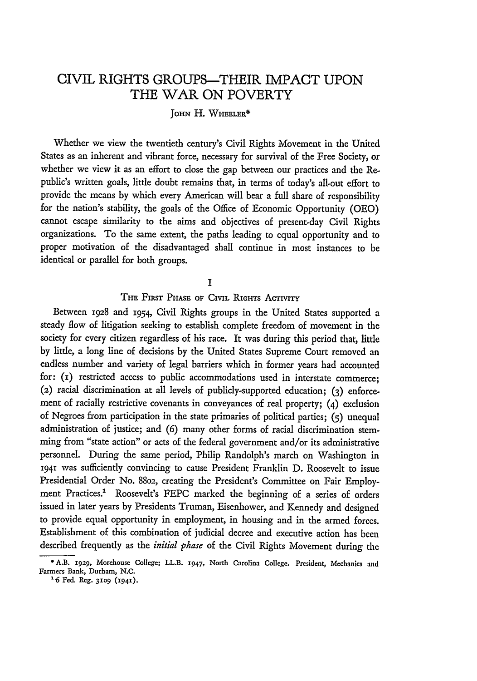# CIVIL RIGHTS GROUPS-THEIR IMPACT UPON THE WAR ON POVERTY

# JOHN H. WHEELER

Whether we view the twentieth century's Civil Rights Movement in the United States as an inherent and vibrant force, necessary for survival of the Free Society, or whether we view it as an effort to close the gap between our practices and the Republic's written goals, little doubt remains that, in terms of today's all-out effort to provide the means by which every American will bear a full share of responsibility for the nation's stability, the goals of the Office of Economic Opportunity (OEO) cannot escape similarity to the aims and objectives of present-day Civil Rights organizations. To the same extent, the paths leading to equal opportunity and to proper motivation of the disadvantaged shall continue in most instances to be identical or parallel for both groups.

 $\mathbf T$ 

# THE FIRST **PHASE** OF **CIVIL** RIGHTS ACTIVITY

Between 1928 and 1954, Civil Rights groups in the United States supported a steady flow of litigation seeking to establish complete freedom of movement in the society for every citizen regardless of his race. It was during this period that, little by little, a long line of decisions by the United States Supreme Court removed an endless number and variety of legal barriers which in former years had accounted for: (i) restricted access to public accommodations used in interstate commerce; **(2)** racial discrimination at all levels of publicly-supported education; **(3)** enforcement of racially restrictive covenants in conveyances of real property; (4) exclusion of Negroes from participation in the state primaries of political parties; (5) unequal administration of justice; and (6) many other forms of racial discrimination stemming from "state action" or acts of the federal government and/or its administrative personnel. During the same period, Philip Randolph's march on Washington in **1941** was sufficiently convincing to cause President Franklin D. Roosevelt to issue Presidential Order No. 88o2, creating the President's Committee on Fair Employment Practices.<sup>1</sup> Roosevelt's FEPC marked the beginning of a series of orders issued in later years by Presidents Truman, Eisenhower, and Kennedy and designed to provide equal opportunity in employment, in housing and in the armed forces. Establishment of this combination of judicial decree and executive action has been described frequently as the *initial phase* of the Civil Rights Movement during the

**<sup>\*</sup>A.B. 1929,** Morehouse College; **LL.B.** i947, North Carolina College. President, Mechanics and Farmers Bank, Durham, **N.C.**

*<sup>&#</sup>x27;* **6 Fed.** Reg. **3109** (1941).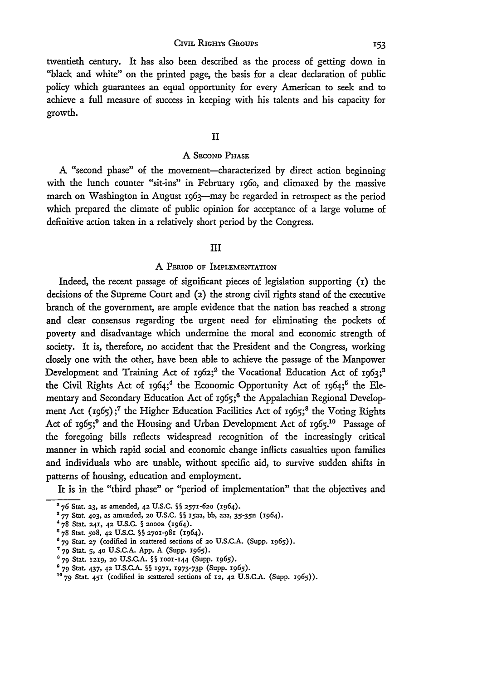#### CIVIL RIGHTS GROUPS 153

twentieth century. It has also been described as the process of getting down in "black and white" on the printed page, the basis for a clear declaration of public policy which guarantees an equal opportunity for every American to seek and to achieve a full measure of success in keeping with his talents and his capacity for growth.

## II

# **A** SEcoND PHASE

**A** "second phase" of the movement-characterized by direct action beginning with the lunch counter "sit-ins" in February i96o, and climaxed by the massive march on Washington in August 1963—may be regarded in retrospect as the period which prepared the climate of public opinion for acceptance of a large volume of definitive action taken in a relatively short period by the Congress.

#### III

# A PERIOD OF IMPLEMENTATION

Indeed, the recent passage of significant pieces of legislation supporting **(I)** the decisions of the Supreme Court and (2) the strong civil rights stand of the executive branch of the government, are ample evidence that the nation has reached a strong and clear consensus regarding the urgent need for eliminating the pockets of poverty and disadvantage which undermine the moral and economic strength of society. It is, therefore, no accident that the President and the Congress, working closely one with the other, have been able to achieve the passage of the Manpower Development and Training Act of  $1962$ ;<sup>2</sup> the Vocational Education Act of  $1962$ ;<sup>3</sup> the Civil Rights Act of  $1964$ ;<sup>4</sup> the Economic Opportunity Act of  $1964$ ;<sup>5</sup> the Elementary and Secondary Education Act of 1965;<sup>6</sup> the Appalachian Regional Development Act (1965);<sup>7</sup> the Higher Education Facilities Act of 1965;<sup>8</sup> the Voting Rights Act of  $1965$ ; and the Housing and Urban Development Act of  $1965$ <sup>10</sup> Passage of the foregoing bills reflects widespread recognition of the increasingly critical manner in which rapid social and economic change inflicts casualties upon families and individuals who are unable, without specific aid, to survive sudden shifts in patterns of housing, education and employment.

It is in the "third phase" or "period of implementation" that the objectives and

4 **78 Stat.** 241, 42 **U.S.C. § 20ooa** (3964).

<sup>2</sup> **76** Stat. **23,** as amended, **42 U.S.C. §§ 2571-62o** (1964).

**<sup>377</sup> Stat.** 403, as amended, 2o U.S.C. **H 15aa, bb,** aaa, 35-35n (1964).

r78 Stat. *508,* 42 U.S.C. **§ 701-981 (1964). <sup>a</sup>**79 Stat. **27** (codified in scattered sections of 2o U.S.C.A. **(Supp.** 1965)).

**<sup>179</sup>** Stat. **5, 40** U.S.C.A. **App. A (Supp. x965).**

**<sup>8 79</sup>** Stat. **i219,** 2o U.S.C.A. **§§ 1001-144 (Supp.** 1965).

<sup>79</sup> Stat. 437, 42 U.S.C.A. **§ 1971,** 1973-73P (Supp. 1965). **1o** 79 Stat. 451 (codified **in** scattered sections **of 12,** 42 U.S.C.A. (Supp. 1965)).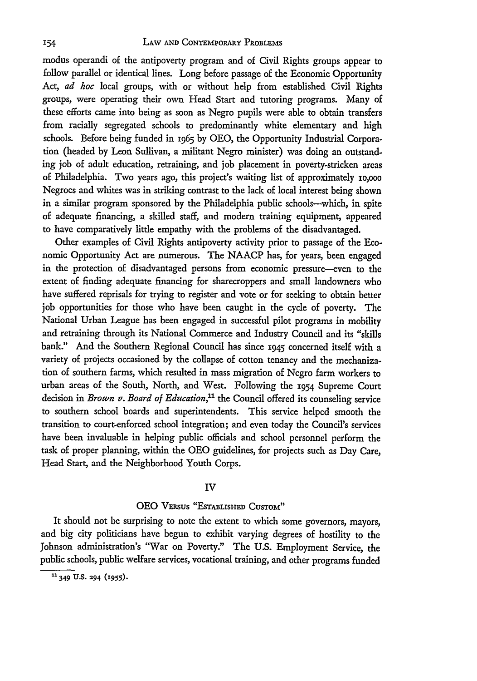modus operandi of the antipoverty program and of Civil Rights groups appear to follow parallel or identical lines. Long before passage of the Economic Opportunity Act, *ad hoe* local groups, with or without help from established Civil Rights groups, were operating their own Head Start and tutoring programs. Many of these efforts came into being as soon as Negro pupils were able to obtain transfers from racially segregated schools to predominantly white elementary and high schools. Before being funded in **1965** by OEO, the Opportunity Industrial Corporation (headed by Leon Sullivan, a militant Negro minister) was doing an outstanding job of adult education, retraining, and job placement in poverty-stricken areas of Philadelphia. Two years ago, this project's waiting list of approximately io,ooo Negroes and whites was in striking contrast to the lack of local interest being shown in a similar program sponsored by the Philadelphia public schools-which, in spite of adequate financing, a skilled staff, and modern training equipment, appeared to have comparatively little empathy with the problems of the disadvantaged.

Other examples of Civil Rights antipoverty activity prior to passage of the Economic Opportunity Act are numerous. The NAACP has, for years, been engaged in the protection of disadvantaged persons from economic pressure-even to the extent of finding adequate financing for sharecroppers and small landowners who have suffered reprisals for trying to register and vote or for seeking to obtain better job opportunities for those who have been caught in the cycle of poverty. The National Urban League has been engaged in successful pilot programs in mobility and retraining through its National Commerce and Industry Council and its "skills bank." And the Southern Regional Council has since 1945 concerned itself with a variety of projects occasioned by the collapse of cotton tenancy and the mechanization of southern farms, which resulted in mass migration of Negro farm workers to urban areas of the South, North, and West. Following the 1954 Supreme Court decision in *Brown v. Board of Education,"* the Council offered its counseling service to southern school boards and superintendents. This service helped smooth the transition to court-enforced school integration; and even today the Council's services have been invaluable in helping public officials and school personnel perform the task of proper planning, within the OEO guidelines, for projects such as Day Care, Head Start, and the Neighborhood Youth Corps.

# IV

# OEO VERSUS **"ESTABLISHED** CusToM"

It should not be surprising to note the extent to which some governors, mayors, and big city politicians have begun to exhibit varying degrees of hostility to the Johnson administration's "War on Poverty." The **US.** Employment Service, the public schools, public welfare services, vocational training, and other programs funded

**<sup>11 349</sup> U.S. 294 (1955).**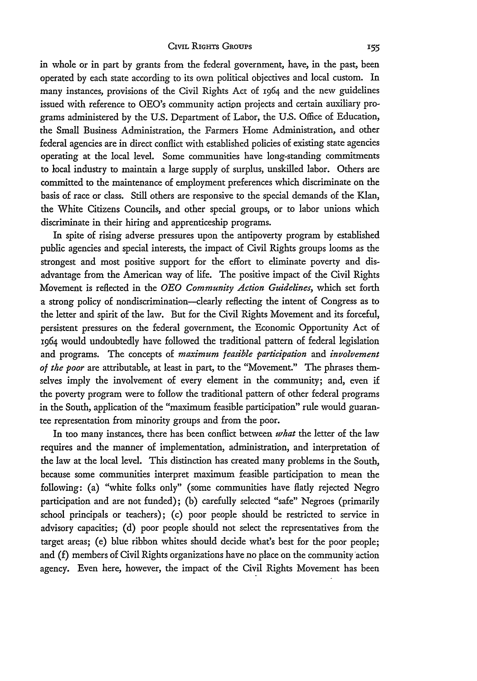in whole or in part by grants from the federal government, have, in the past, been operated by each state according to its own political objectives and local custom. In many instances, provisions of the Civil Rights Act of 1964 and the new guidelines issued with reference to OEO's community action projects and certain auxiliary programs administered by the U.S. Department of Labor, the U.S. Office of Education, the Small Business Administration, the Farmers Home Administration, and other federal agencies are in direct conflict with established policies of existing state agencies operating at the local level. Some communities have long-standing commitments to local industry to maintain a large supply of surplus, unskilled labor. Others are committed to the maintenance of employment preferences which discriminate on the basis of race or class. Still others are responsive to the special demands of the Klan, the White Citizens Councils, and other special groups, or to labor unions which discriminate in their hiring and apprenticeship programs.

In spite of rising adverse pressures upon the antipoverty program by established public agencies and special interests, the impact of Civil Rights groups looms as the strongest and most positive support for the effort to eliminate poverty and disadvantage from the American way of life. The positive impact of the Civil Rights Movement is reflected in the *OEO Community Action Guidelines,* which set forth a strong policy of nondiscrimination--clearly reflecting the intent of Congress as to the letter and spirit of the law. But for the Civil Rights Movement and its forceful, persistent pressures on the federal government, the Economic Opportunity Act of 1964 would undoubtedly have followed the traditional pattern of federal legislation and programs. The concepts of *maximum feasible participation* and *involvement of the poor* are attributable, at least in part, to the "Movement." The phrases themselves imply the involvement of every element in the community; and, even if the poverty program were to follow the traditional pattern of other federal programs in the South, application of the "maximum feasible participation" rule would guarantee representation from minority groups and from the poor.

In too many instances, there has been conflict between *what* the letter of the law requires and the manner of implementation, administration, and interpretation of the law at the local level. This distinction has created many problems in the South, because some communities interpret maximum feasible participation to mean the following: (a) "white folks only" (some communities have flatly rejected Negro participation and are not funded); (b) carefully selected "safe" Negroes (primarily school principals or teachers); (c) poor people should be restricted to service in advisory capacities; (d) poor people should not select the representatives from the target areas; (e) blue ribbon whites should decide what's best for the poor people; and (f) members of Civil Rights organizations have no place on the community action agency. Even here, however, the impact of the Civil Rights Movement has been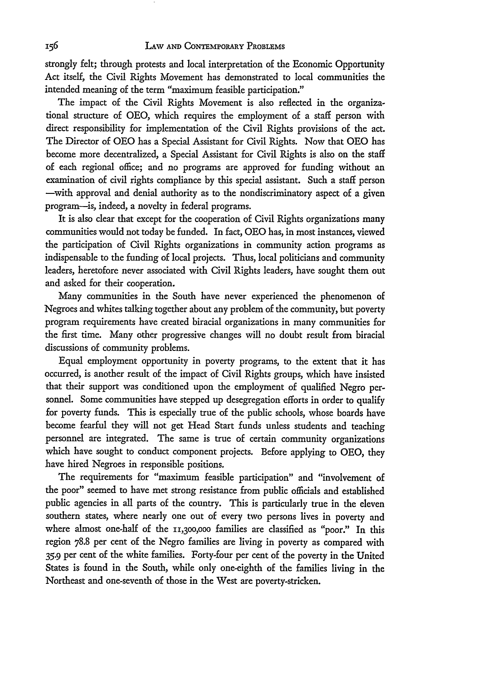strongly felt; through protests and local interpretation of the Economic Opportunity Act itself, the Civil Rights Movement has demonstrated to local communities the intended meaning of the term "maximum feasible participation."

The impact of the Civil Rights Movement is also reflected in the organizational structure of OEO, which requires the employment of a staff person with direct responsibility for implementation of the Civil Rights provisions of the act. The Director of OEO has a Special Assistant for Civil Rights. Now that **OEO** has become more decentralized, a Special Assistant for Civil Rights is also on the staff of each regional office; and no programs are approved for funding without an examination of civil rights compliance by this special assistant. Such a staff person -with approval and denial authority as to the nondiscriminatory aspect of a given program-is, indeed, a novelty in federal programs.

It is also clear that except for the cooperation of Civil Rights organizations many communities would not today be funded. In fact, **OEO** has, in most instances, viewed the participation of Civil Rights organizations in community action programs as indispensable to the funding of local projects. Thus, local politicians and community leaders, heretofore never associated with Civil Rights leaders, have sought them out and asked for their cooperation.

Many communities in the South have never experienced the phenomenon of Negroes and whites talking together about any problem of the community, but poverty program requirements have created biracial organizations in many communities for the first time. Many other progressive changes will no doubt result from biracial discussions of community problems.

Equal employment opportunity in poverty programs, to the extent that it has occurred, is another result of the impact of Civil Rights groups, which have insisted that their support was conditioned upon the employment of qualified Negro personnel. Some communities have stepped up desegregation efforts in order to qualify for poverty funds. This is especially true of the public schools, whose boards have become fearful they will not get Head Start funds unless students and teaching personnel are integrated. The same is true of certain community organizations which have sought to conduct component projects. Before applying to OEO, they have hired Negroes in responsible positions.

The requirements for "maximum feasible participation" and "involvement of the poor" seemed to have met strong resistance from public officials and established public agencies in all parts of the country. This is particularly true in the eleven southern states, where nearly one out of every two persons lives in poverty and where almost one-half of the 11,300,000 families are classified as "poor." In this region 78.8 per cent of the Negro families are living in poverty as compared with 35.9 per cent of the white families. Forty-four per cent of the poverty in the United States is found in the South, while only one-eighth of the families living in the Northeast and one-seventh of those in the West are poverty-stricken.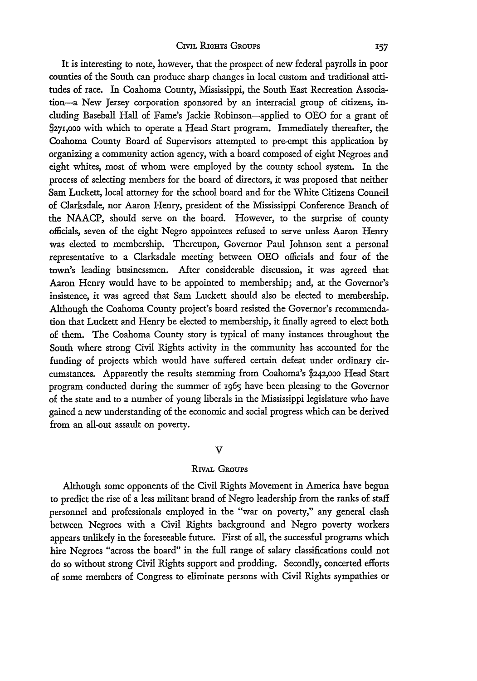It is interesting to note, however, that the prospect of new federal payrolls in poor counties of the South can produce sharp changes in local custom and traditional attitudes of race. In Coahoma County, Mississippi, the South East Recreation Association-a New Jersey corporation sponsored by an interracial group of citizens, including Baseball Hall of Fame's Jackie Robinson-applied to **OEO** for a grant of **\$271,000** with which to operate a Head Start program. Immediately thereafter, the Coahoma County Board of Supervisors attempted to pre-empt this application by organizing a community action agency, with a board composed of eight Negroes and eight whites, most of whom were employed by the county school system. In the process of selecting members for the board of directors, it was proposed that neither Sam Luckett, local attorney for the school board and for the White Citizens Council of Clarksdale, nor Aaron Henry, president of the Mississippi Conference Branch of the NAACP, should serve on the board. However, to the surprise of county officials, seven of the eight Negro appointees refused to serve unless Aaron Henry was elected to membership. Thereupon, Governor Paul Johnson sent a personal representative to a Clarksdale meeting between OEO officials and four of the town's leading businessmen. After considerable discussion, it was agreed that Aaron Henry would have to be appointed to membership; and, at the Governor's insistence, it was agreed that Sam Luckett should also be elected to membership. Although the Coahoma County project's board resisted the Governor's recommendation that Luckett and Henry be elected to membership, it finally agreed to elect both of them. The Coahoma County story is typical of many instances throughout the South where strong Civil Rights activity in the community has accounted for the funding of projects which would have suffered certain defeat under ordinary circumstances. Apparently the results stemming from Coahoma's \$242,ooo Head Start program conducted during the summer of 1965 have been pleasing to the Governor of the state and to a number of young liberals in the Mississippi legislature who have gained a new understanding of the economic and social progress which can be derived from an all-out assault on poverty.

#### V

# **RIVAL GROUPS**

Although some opponents of the Civil Rights Movement in America have begun to predict the rise of a less militant brand of Negro leadership from the ranks of staff personnel and professionals employed in the "war on poverty," any general clash between Negroes with a Civil Rights background and Negro poverty workers appears unlikely in the foreseeable future. First of all, the successful programs which hire Negroes "across the board" in the full range of salary classifications could not do so without strong Civil Rights support and prodding. Secondly, concerted efforts of some members of Congress to eliminate persons with Civil Rights sympathies or